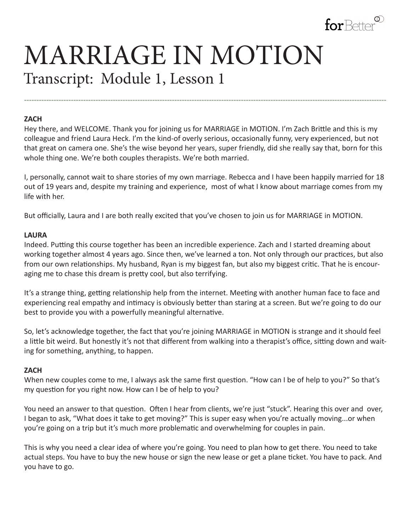

# MARRIAGE IN MOTION Transcript: Module 1, Lesson 1

#### **ZACH**

Hey there, and WELCOME. Thank you for joining us for MARRIAGE in MOTION. I'm Zach Brittle and this is my colleague and friend Laura Heck. I'm the kind-of overly serious, occasionally funny, very experienced, but not that great on camera one. She's the wise beyond her years, super friendly, did she really say that, born for this whole thing one. We're both couples therapists. We're both married.

**---------------------------------------------------------------------------------------------------------------------------------------------------**

I, personally, cannot wait to share stories of my own marriage. Rebecca and I have been happily married for 18 out of 19 years and, despite my training and experience, most of what I know about marriage comes from my life with her.

But officially, Laura and I are both really excited that you've chosen to join us for MARRIAGE in MOTION.

#### **LAURA**

Indeed. Putting this course together has been an incredible experience. Zach and I started dreaming about working together almost 4 years ago. Since then, we've learned a ton. Not only through our practices, but also from our own relationships. My husband, Ryan is my biggest fan, but also my biggest critic. That he is encouraging me to chase this dream is pretty cool, but also terrifying.

It's a strange thing, getting relationship help from the internet. Meeting with another human face to face and experiencing real empathy and intimacy is obviously better than staring at a screen. But we're going to do our best to provide you with a powerfully meaningful alternative.

So, let's acknowledge together, the fact that you're joining MARRIAGE in MOTION is strange and it should feel a little bit weird. But honestly it's not that different from walking into a therapist's office, sitting down and waiting for something, anything, to happen.

#### **ZACH**

When new couples come to me, I always ask the same first question. "How can I be of help to you?" So that's my question for you right now. How can I be of help to you?

You need an answer to that question. Often I hear from clients, we're just "stuck". Hearing this over and over, I began to ask, "What does it take to get moving?" This is super easy when you're actually moving...or when you're going on a trip but it's much more problematic and overwhelming for couples in pain.

This is why you need a clear idea of where you're going. You need to plan how to get there. You need to take actual steps. You have to buy the new house or sign the new lease or get a plane ticket. You have to pack. And you have to go.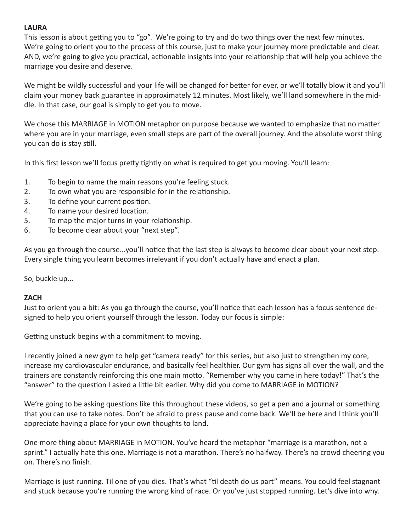# **LAURA**

This lesson is about getting you to "go". We're going to try and do two things over the next few minutes. We're going to orient you to the process of this course, just to make your journey more predictable and clear. AND, we're going to give you practical, actionable insights into your relationship that will help you achieve the marriage you desire and deserve.

We might be wildly successful and your life will be changed for better for ever, or we'll totally blow it and you'll claim your money back guarantee in approximately 12 minutes. Most likely, we'll land somewhere in the middle. In that case, our goal is simply to get you to move.

We chose this MARRIAGE in MOTION metaphor on purpose because we wanted to emphasize that no matter where you are in your marriage, even small steps are part of the overall journey. And the absolute worst thing you can do is stay still.

In this first lesson we'll focus pretty tightly on what is required to get you moving. You'll learn:

- 1. To begin to name the main reasons you're feeling stuck.
- 2. To own what you are responsible for in the relationship.
- 3. To define your current position.
- 4. To name your desired location.
- 5. To map the major turns in your relationship.
- 6. To become clear about your "next step".

As you go through the course...you'll notice that the last step is always to become clear about your next step. Every single thing you learn becomes irrelevant if you don't actually have and enact a plan.

So, buckle up...

### **ZACH**

Just to orient you a bit: As you go through the course, you'll notice that each lesson has a focus sentence designed to help you orient yourself through the lesson. Today our focus is simple:

Getting unstuck begins with a commitment to moving.

I recently joined a new gym to help get "camera ready" for this series, but also just to strengthen my core, increase my cardiovascular endurance, and basically feel healthier. Our gym has signs all over the wall, and the trainers are constantly reinforcing this one main motto. "Remember why you came in here today!" That's the "answer" to the question I asked a little bit earlier. Why did you come to MARRIAGE in MOTION?

We're going to be asking questions like this throughout these videos, so get a pen and a journal or something that you can use to take notes. Don't be afraid to press pause and come back. We'll be here and I think you'll appreciate having a place for your own thoughts to land.

One more thing about MARRIAGE in MOTION. You've heard the metaphor "marriage is a marathon, not a sprint." I actually hate this one. Marriage is not a marathon. There's no halfway. There's no crowd cheering you on. There's no finish.

Marriage is just running. Til one of you dies. That's what "til death do us part" means. You could feel stagnant and stuck because you're running the wrong kind of race. Or you've just stopped running. Let's dive into why.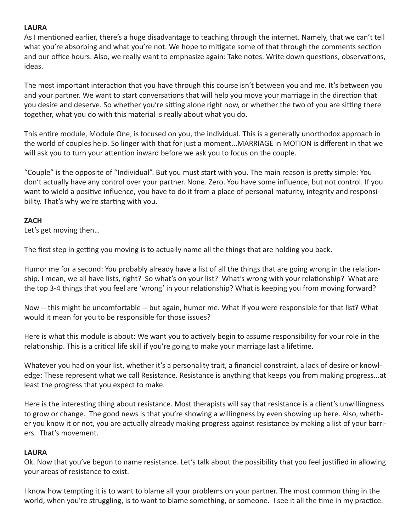# **LAURA**

As I mentioned earlier, there's a huge disadvantage to teaching through the internet. Namely, that we can't tell what you're absorbing and what you're not. We hope to mitigate some of that through the comments section and our office hours. Also, we really want to emphasize again: Take notes. Write down questions, observations, ideas.

The most important interaction that you have through this course isn't between you and me. It's between you and your partner. We want to start conversations that will help you move your marriage in the direction that you desire and deserve. So whether you're sitting alone right now, or whether the two of you are sitting there together, what you do with this material is really about what you do.

This entire module, Module One, is focused on you, the individual. This is a generally unorthodox approach in the world of couples help. So linger with that for just a moment...MARRIAGE in MOTION is different in that we will ask you to turn your attention inward before we ask you to focus on the couple.

"Couple" is the opposite of "Individual". But you must start with you. The main reason is pretty simple: You don't actually have any control over your partner. None. Zero. You have some influence, but not control. If you want to wield a positive influence, you have to do it from a place of personal maturity, integrity and responsibility. That's why we're starting with you.

# **ZACH**

Let's get moving then…

The first step in getting you moving is to actually name all the things that are holding you back.

Humor me for a second: You probably already have a list of all the things that are going wrong in the relationship. I mean, we all have lists, right? So what's on your list? What's wrong with your relationship? What are the top 3-4 things that you feel are 'wrong' in your relationship? What is keeping you from moving forward?

Now -- this might be uncomfortable -- but again, humor me. What if you were responsible for that list? What would it mean for you to be responsible for those issues?

Here is what this module is about: We want you to actively begin to assume responsibility for your role in the relationship. This is a critical life skill if you're going to make your marriage last a lifetime.

Whatever you had on your list, whether it's a personality trait, a financial constraint, a lack of desire or knowledge: These represent what we call Resistance. Resistance is anything that keeps you from making progress...at least the progress that you expect to make.

Here is the interesting thing about resistance. Most therapists will say that resistance is a client's unwillingness to grow or change. The good news is that you're showing a willingness by even showing up here. Also, whether you know it or not, you are actually already making progress against resistance by making a list of your barriers. That's movement.

### **LAURA**

Ok. Now that you've begun to name resistance. Let's talk about the possibility that you feel justified in allowing your areas of resistance to exist.

I know how tempting it is to want to blame all your problems on your partner. The most common thing in the world, when you're struggling, is to want to blame something, or someone. I see it all the time in my practice.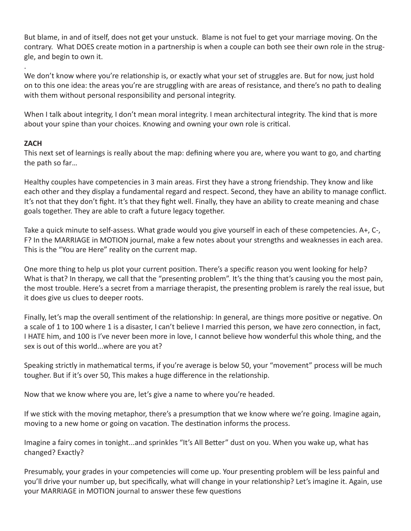But blame, in and of itself, does not get your unstuck. Blame is not fuel to get your marriage moving. On the contrary. What DOES create motion in a partnership is when a couple can both see their own role in the struggle, and begin to own it.

. We don't know where you're relationship is, or exactly what your set of struggles are. But for now, just hold on to this one idea: the areas you're are struggling with are areas of resistance, and there's no path to dealing with them without personal responsibility and personal integrity.

When I talk about integrity, I don't mean moral integrity. I mean architectural integrity. The kind that is more about your spine than your choices. Knowing and owning your own role is critical.

# **ZACH**

This next set of learnings is really about the map: defining where you are, where you want to go, and charting the path so far…

Healthy couples have competencies in 3 main areas. First they have a strong friendship. They know and like each other and they display a fundamental regard and respect. Second, they have an ability to manage conflict. It's not that they don't fight. It's that they fight well. Finally, they have an ability to create meaning and chase goals together. They are able to craft a future legacy together.

Take a quick minute to self-assess. What grade would you give yourself in each of these competencies. A+, C-, F? In the MARRIAGE in MOTION journal, make a few notes about your strengths and weaknesses in each area. This is the "You are Here" reality on the current map.

One more thing to help us plot your current position. There's a specific reason you went looking for help? What is that? In therapy, we call that the "presenting problem". It's the thing that's causing you the most pain, the most trouble. Here's a secret from a marriage therapist, the presenting problem is rarely the real issue, but it does give us clues to deeper roots.

Finally, let's map the overall sentiment of the relationship: In general, are things more positive or negative. On a scale of 1 to 100 where 1 is a disaster, I can't believe I married this person, we have zero connection, in fact, I HATE him, and 100 is I've never been more in love, I cannot believe how wonderful this whole thing, and the sex is out of this world...where are you at?

Speaking strictly in mathematical terms, if you're average is below 50, your "movement" process will be much tougher. But if it's over 50, This makes a huge difference in the relationship.

Now that we know where you are, let's give a name to where you're headed.

If we stick with the moving metaphor, there's a presumption that we know where we're going. Imagine again, moving to a new home or going on vacation. The destination informs the process.

Imagine a fairy comes in tonight...and sprinkles "It's All Better" dust on you. When you wake up, what has changed? Exactly?

Presumably, your grades in your competencies will come up. Your presenting problem will be less painful and you'll drive your number up, but specifically, what will change in your relationship? Let's imagine it. Again, use your MARRIAGE in MOTION journal to answer these few questions